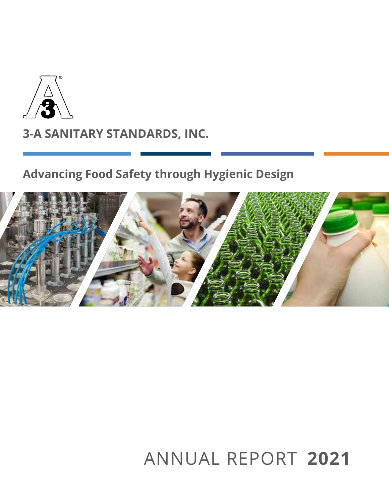

## **Advancing Food Safety through Hygienic Design**



# ANNUAL REPORT **2021**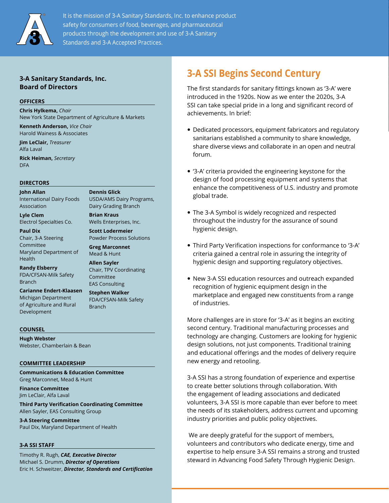

It is the mission of 3-A Sanitary Standards, Inc. to enhance product safety for consumers of food, beverages, and pharmaceutical products through the development and use of 3-A Sanitary Standards and 3-A Accepted Practices.

### **3-A Sanitary Standards, Inc. Board of Directors**

#### **OFFICERS**

**Chris Hylkema,** *Chair* New York State Department of Agriculture & Markets **Kenneth Anderson,** *Vice Chair*

**Dennis Glick**

**Brian Kraus**

USDA/AMS Dairy Programs, Dairy Grading Branch

Wells Enterprises, Inc. **Scott Lodermeier** Powder Process Solutions

**Greg Marconnet** Mead & Hunt **Allen Sayler**

Committee EAS Consulting **Stephen Walker**  FDA/CFSAN-Milk Safety

Branch

Chair, TPV Coordinating

Harold Wainess & Associates **Jim LeClair,** *Treasurer*

Alfa Laval **Rick Heiman,** *Secretary*

DFA

#### **DIRECTORS**

**John Allan** International Dairy Foods Association

**Lyle Clem** Electrol Specialties Co.

**Paul Dix**  Chair, 3-A Steering Committee Maryland Department of Health

**Randy Elsberry** FDA/CFSAN-Milk Safety Branch

**Carianne Endert-Klaasen** Michigan Department of Agriculture and Rural Development

#### **COUNSEL**

**Hugh Webster** Webster, Chamberlain & Bean

#### **COMMITTEE LEADERSHIP**

**Communications & Education Committee** Greg Marconnet, Mead & Hunt

**Finance Committee** Jim LeClair, Alfa Laval

**Third Party Verification Coordinating Committee** Allen Sayler, EAS Consulting Group

**3-A Steering Committee** Paul Dix, Maryland Department of Health

#### **3-A SSI STAFF**

Timothy R. Rugh, *CAE, Executive Director* Michael S. Drumm, *Director of Operations* Eric H. Schweitzer, *Director, Standards and Certification*

### **3-A SSI Begins Second Century**

The first standards for sanitary fittings known as '3-A' were introduced in the 1920s. Now as we enter the 2020s, 3-A SSI can take special pride in a long and significant record of achievements. In brief:

- Dedicated processors, equipment fabricators and regulatory sanitarians established a community to share knowledge, share diverse views and collaborate in an open and neutral forum.
- '3-A' criteria provided the engineering keystone for the design of food processing equipment and systems that enhance the competitiveness of U.S. industry and promote global trade.
- The 3-A Symbol is widely recognized and respected throughout the industry for the assurance of sound hygienic design.
- Third Party Verification inspections for conformance to '3-A' criteria gained a central role in assuring the integrity of hygienic design and supporting regulatory objectives.
- New 3-A SSI education resources and outreach expanded recognition of hygienic equipment design in the marketplace and engaged new constituents from a range of industries.

More challenges are in store for '3-A' as it begins an exciting second century. Traditional manufacturing processes and technology are changing. Customers are looking for hygienic design solutions, not just components. Traditional training and educational offerings and the modes of delivery require new energy and retooling.

3-A SSI has a strong foundation of experience and expertise to create better solutions through collaboration. With the engagement of leading associations and dedicated volunteers, 3-A SSI is more capable than ever before to meet the needs of its stakeholders, address current and upcoming industry priorities and public policy objectives.

 We are deeply grateful for the support of members, volunteers and contributors who dedicate energy, time and expertise to help ensure 3-A SSI remains a strong and trusted steward in Advancing Food Safety Through Hygienic Design.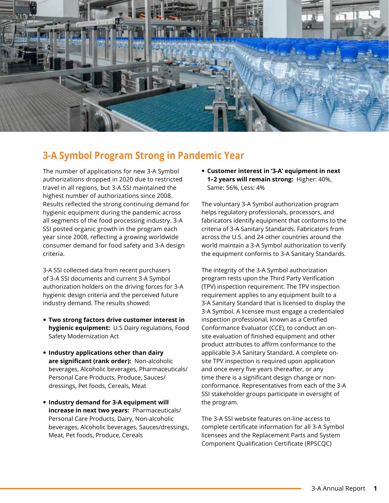

### **3-A Symbol Program Strong in Pandemic Year**

The number of applications for new 3-A Symbol authorizations dropped in 2020 due to restricted travel in all regions, but 3-A SSI maintained the highest number of authorizations since 2008. Results reflected the strong continuing demand for hygienic equipment during the pandemic across all segments of the food processing industry. 3-A SSI posted organic growth in the program each year since 2008, reflecting a growing worldwide consumer demand for food safety and 3-A design criteria.

3-A SSI collected data from recent purchasers of 3-A SSI documents and current 3-A Symbol authorization holders on the driving forces for 3-A hygienic design criteria and the perceived future industry demand. The results showed:

- **Two strong factors drive customer interest in hygienic equipment:** U.S Dairy regulations, Food Safety Modernization Act
- **Industry applications other than dairy are significant (rank order):** Non-alcoholic beverages, Alcoholic beverages, Pharmaceuticals/ Personal Care Products, Produce, Sauces/ dressings, Pet foods, Cereals, Meat
- **Industry demand for 3-A equipment will increase in next two years:** Pharmaceuticals/ Personal Care Products, Dairy, Non-alcoholic beverages, Alcoholic beverages, Sauces/dressings, Meat, Pet foods, Produce, Cereals

 **Customer interest in '3-A' equipment in next 1–2 years will remain strong:** Higher: 40%, Same: 56%, Less: 4%

The voluntary 3-A Symbol authorization program helps regulatory professionals, processors, and fabricators identify equipment that conforms to the criteria of 3-A Sanitary Standards. Fabricators from across the U.S. and 24 other countries around the world maintain a 3-A Symbol authorization to verify the equipment conforms to 3-A Sanitary Standards.

The integrity of the 3-A Symbol authorization program rests upon the Third Party Verification (TPV) inspection requirement. The TPV inspection requirement applies to any equipment built to a 3-A Sanitary Standard that is licensed to display the 3-A Symbol. A licensee must engage a credentialed inspection professional, known as a Certified Conformance Evaluator (CCE), to conduct an onsite evaluation of finished equipment and other product attributes to affirm conformance to the applicable 3-A Sanitary Standard. A complete onsite TPV inspection is required upon application and once every five years thereafter, or any time there is a significant design change or nonconformance. Representatives from each of the 3-A SSI stakeholder groups participate in oversight of the program.

The 3-A SSI website features on-line access to complete certificate information for all 3-A Symbol licensees and the Replacement Parts and System Component Qualification Certificate (RPSCQC)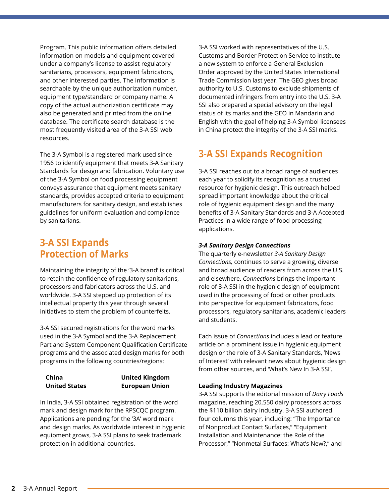Program. This public information offers detailed information on models and equipment covered under a company's license to assist regulatory sanitarians, processors, equipment fabricators, and other interested parties. The information is searchable by the unique authorization number, equipment type/standard or company name. A copy of the actual authorization certificate may also be generated and printed from the online database. The certificate search database is the most frequently visited area of the 3-A SSI web resources.

The 3-A Symbol is a registered mark used since 1956 to identify equipment that meets 3-A Sanitary Standards for design and fabrication. Voluntary use of the 3-A Symbol on food processing equipment conveys assurance that equipment meets sanitary standards, provides accepted criteria to equipment manufacturers for sanitary design, and establishes guidelines for uniform evaluation and compliance by sanitarians.

### **3-A SSI Expands Protection of Marks**

Maintaining the integrity of the '3-A brand' is critical to retain the confidence of regulatory sanitarians, processors and fabricators across the U.S. and worldwide. 3-A SSI stepped up protection of its intellectual property this year through several initiatives to stem the problem of counterfeits.

3-A SSI secured registrations for the word marks used in the 3-A Symbol and the 3-A Replacement Part and System Component Qualification Certificate programs and the associated design marks for both programs in the following countries/regions:

**China United States**

#### **United Kingdom European Union**

In India, 3-A SSI obtained registration of the word mark and design mark for the RPSCQC program. Applications are pending for the '3A' word mark and design marks. As worldwide interest in hygienic equipment grows, 3-A SSI plans to seek trademark protection in additional countries.

3-A SSI worked with representatives of the U.S. Customs and Border Protection Service to institute a new system to enforce a General Exclusion Order approved by the United States International Trade Commission last year. The GEO gives broad authority to U.S. Customs to exclude shipments of documented infringers from entry into the U.S. 3-A SSI also prepared a special advisory on the legal status of its marks and the GEO in Mandarin and English with the goal of helping 3-A Symbol licensees in China protect the integrity of the 3-A SSI marks.

### **3-A SSI Expands Recognition**

3-A SSI reaches out to a broad range of audiences each year to solidify its recognition as a trusted resource for hygienic design. This outreach helped spread important knowledge about the critical role of hygienic equipment design and the many benefits of 3-A Sanitary Standards and 3-A Accepted Practices in a wide range of food processing applications.

### *3-A Sanitary Design Connections*

The quarterly e-newsletter *3-A Sanitary Design Connections,* continues to serve a growing, diverse and broad audience of readers from across the U.S. and elsewhere. *Connections* brings the important role of 3-A SSI in the hygienic design of equipment used in the processing of food or other products into perspective for equipment fabricators, food processors, regulatory sanitarians, academic leaders and students.

Each issue of *Connections* includes a lead or feature article on a prominent issue in hygienic equipment design or the role of 3-A Sanitary Standards, 'News of Interest' with relevant news about hygienic design from other sources, and 'What's New In 3-A SSI'.

### **Leading Industry Magazines**

3-A SSI supports the editorial mission of *Dairy Foods* magazine, reaching 20,550 dairy processors across the \$110 billion dairy industry. 3-A SSI authored four columns this year, including: "The Importance of Nonproduct Contact Surfaces," "Equipment Installation and Maintenance: the Role of the Processor," "Nonmetal Surfaces: What's New?," and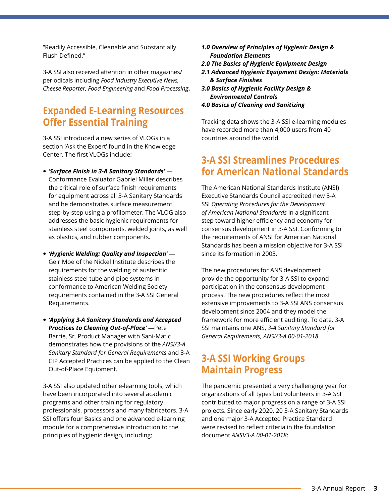"Readily Accessible, Cleanable and Substantially Flush Defined."

3-A SSI also received attention in other magazines/ periodicals including *Food Industry Executive News, Cheese Reporter, Food Engineering* and *Food Processing***.**

### **Expanded E-Learning Resources Offer Essential Training**

3-A SSI introduced a new series of VLOGs in a section 'Ask the Expert' found in the Knowledge Center. The first VLOGs include:

- *'Surface Finish in 3-A Sanitary Standards'*  Conformance Evaluator Gabriel Miller describes the critical role of surface finish requirements for equipment across all 3-A Sanitary Standards and he demonstrates surface measurement step-by-step using a profilometer. The VLOG also addresses the basic hygienic requirements for stainless steel components, welded joints, as well as plastics, and rubber components.
- *'Hygienic Welding: Quality and Inspection'* Geir Moe of the Nickel Institute describes the requirements for the welding of austenitic stainless steel tube and pipe systems in conformance to American Welding Society requirements contained in the 3-A SSI General Requirements.
- *'Applying 3-A Sanitary Standards and Accepted Practices to Cleaning Out-of-Place'* —Pete Barrie, Sr. Product Manager with Sani-Matic demonstrates how the provisions of the *ANSI/3-A Sanitary Standard for General Requirements* and 3-A CIP Accepted Practices can be applied to the Clean Out-of-Place Equipment.

3-A SSI also updated other e-learning tools, which have been incorporated into several academic programs and other training for regulatory professionals, processors and many fabricators. 3-A SSI offers four Basics and one advanced e-learning module for a comprehensive introduction to the principles of hygienic design, including:

- *1.0 Overview of Principles of Hygienic Design & Foundation Elements*
- *2.0 The Basics of Hygienic Equipment Design*
- *2.1 Advanced Hygienic Equipment Design: Materials & Surface Finishes*
- *3.0 Basics of Hygienic Facility Design & Environmental Controls*
- *4.0 Basics of Cleaning and Sanitizing*

Tracking data shows the 3-A SSI e-learning modules have recorded more than 4,000 users from 40 countries around the world.

### **3-A SSI Streamlines Procedures for American National Standards**

The American National Standards Institute (ANSI) Executive Standards Council accredited new 3-A SSI *Operating Procedures for the Development of American National Standards* in a significant step toward higher efficiency and economy for consensus development in 3-A SSI. Conforming to the requirements of ANSI for American National Standards has been a mission objective for 3-A SSI since its formation in 2003.

The new procedures for ANS development provide the opportunity for 3-A SSI to expand participation in the consensus development process. The new procedures reflect the most extensive improvements to 3-A SSI ANS consensus development since 2004 and they model the framework for more efficient auditing. To date, 3-A SSI maintains one ANS, *3-A Sanitary Standard for General Requirements, ANSI/3-A 00-01-2018*.

### **3-A SSI Working Groups Maintain Progress**

The pandemic presented a very challenging year for organizations of all types but volunteers in 3-A SSI contributed to major progress on a range of 3-A SSI projects. Since early 2020, 20 3-A Sanitary Standards and one major 3-A Accepted Practice Standard were revised to reflect criteria in the foundation document *ANSI/3-A 00-01-2018*: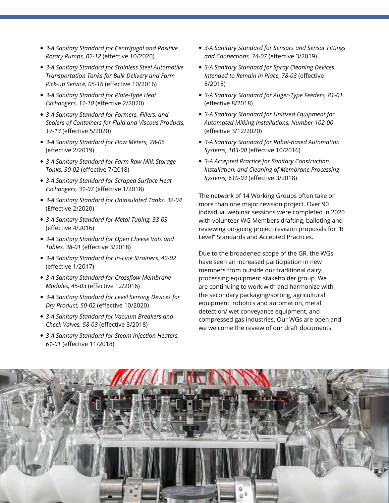- *3-A Sanitary Standard for Centrifugal and Positive Rotary Pumps, 02-12* (effective 10/2020)
- *3-A Sanitary Standard for Stainless Steel Automotive Transportation Tanks for Bulk Delivery and Farm Pick-up Service, 05-16* (effective 10/2016)
- *3-A Sanitary Standard for Plate-Type Heat Exchangers, 11-10* (effective 2/2020)
- *3-A Sanitary Standard for Formers, Fillers, and Sealers of Containers for Fluid and Viscous Products, 17-13* (effective 5/2020)
- *3-A Sanitary Standard for Flow Meters, 28-06*  (effective 2/2019)
- *3-A Sanitary Standard for Farm Raw Milk Storage Tanks, 30-02* (effective 7/2018)
- *3-A Sanitary Standard for Scraped Surface Heat Exchangers, 31-07* (effective 1/2018)
- *3-A Sanitary Standard for Uninsulated Tanks, 32-04*  (Effective 2/2020)
- *3-A Sanitary Standard for Metal Tubing, 33-03*  (effective 4/2016)
- *3-A Sanitary Standard for Open Cheese Vats and Tables, 38-01* (effective 3/2018)
- *3-A Sanitary Standard for In-Line Strainers, 42-02*  (effective 1/2017)
- *3-A Sanitary Standard for Crossflow Membrane Modules, 45-03* (effective 12/2016)
- *3-A Sanitary Standard for Level Sensing Devices for Dry Product, 50-02* (effective 10/2020)
- *3-A Sanitary Standard for Vacuum Breakers and Check Valves, 58-03* (effective 3/2018)
- *3-A Sanitary Standard for Steam Injection Heaters, 61-01* (effective 11/2018)
- *3-A Sanitary Standard for Sensors and Sensor Fittings and Connections, 74-07* (effective 3/2019)
- *3-A Sanitary Standard for Spray Cleaning Devices Intended to Remain in Place, 78-03* (effective 8/2018)
- *3-A Sanitary Standard for Auger-Type Feeders, 81-01*  (effective 8/2018)
- *3-A Sanitary Standard for Unitized Equipment for Automated Milking Installations, Number 102-00*  (effective 3/12/2020)
- *3-A Sanitary Standard for Robot-based Automation Systems, 103-00* (effective 10/2016)
- *3-A Accepted Practice for Sanitary Construction, Installation, and Cleaning of Membrane Processing Systems, 610-03* (effective 3/2018)

The network of 14 Working Groups often take on more than one major revision project. Over 90 individual webinar sessions were completed in 2020 with volunteer WG Members drafting, balloting and reviewing on-going project revision proposals for "B Level" Standards and Accepted Practices.

Due to the broadened scope of the GR, the WGs have seen an increased participation in new members from outside our traditional dairy processing equipment stakeholder group. We are continuing to work with and harmonize with the secondary packaging/sorting, agricultural equipment, robotics and automation, metal detection/ wet conveyance equipment, and compressed gas industries. Our WGs are open and we welcome the review of our draft documents.

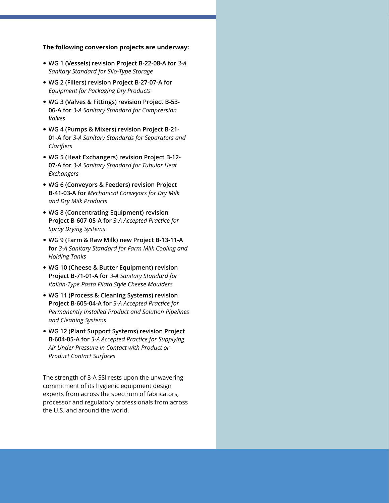#### **The following conversion projects are underway:**

- **WG 1 (Vessels) revision Project B-22-08-A for** *3-A Sanitary Standard for Silo-Type Storage*
- **WG 2 (Fillers) revision Project B-27-07-A for**  *Equipment for Packaging Dry Products*
- **WG 3 (Valves & Fittings) revision Project B-53- 06-A for** *3-A Sanitary Standard for Compression Valves*
- **WG 4 (Pumps & Mixers) revision Project B-21- 01-A for** *3-A Sanitary Standards for Separators and Clarifiers*
- **WG 5 (Heat Exchangers) revision Project B-12- 07-A for** *3-A Sanitary Standard for Tubular Heat Exchangers*
- **WG 6 (Conveyors & Feeders) revision Project B-41-03-A for** *Mechanical Conveyors for Dry Milk and Dry Milk Products*
- **WG 8 (Concentrating Equipment) revision Project B-607-05-A for** *3-A Accepted Practice for Spray Drying Systems*
- **WG 9 (Farm & Raw Milk) new Project B-13-11-A for** *3-A Sanitary Standard for Farm Milk Cooling and Holding Tanks*
- **WG 10 (Cheese & Butter Equipment) revision Project B-71-01-A for** *3-A Sanitary Standard for Italian-Type Pasta Filata Style Cheese Moulders*
- **WG 11 (Process & Cleaning Systems) revision Project B-605-04-A for** *3-A Accepted Practice for Permanently Installed Product and Solution Pipelines and Cleaning Systems*
- **WG 12 (Plant Support Systems) revision Project B-604-05-A for** *3-A Accepted Practice for Supplying Air Under Pressure in Contact with Product or Product Contact Surfaces*

The strength of 3-A SSI rests upon the unwavering commitment of its hygienic equipment design experts from across the spectrum of fabricators, processor and regulatory professionals from across the U.S. and around the world.